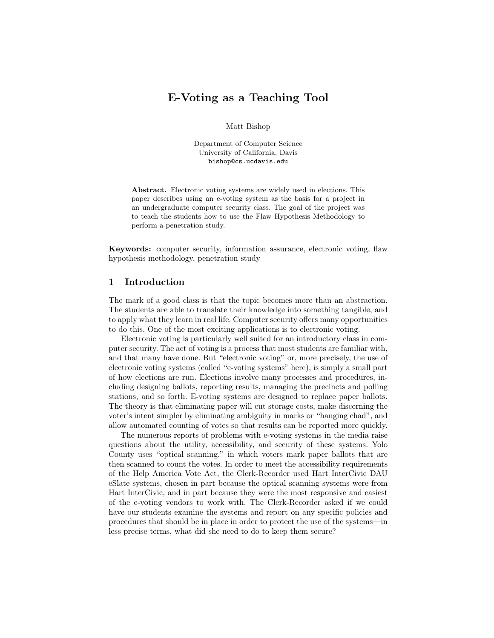# E-Voting as a Teaching Tool

Matt Bishop

Department of Computer Science University of California, Davis bishop@cs.ucdavis.edu

Abstract. Electronic voting systems are widely used in elections. This paper describes using an e-voting system as the basis for a project in an undergraduate computer security class. The goal of the project was to teach the students how to use the Flaw Hypothesis Methodology to perform a penetration study.

Keywords: computer security, information assurance, electronic voting, flaw hypothesis methodology, penetration study

# 1 Introduction

The mark of a good class is that the topic becomes more than an abstraction. The students are able to translate their knowledge into something tangible, and to apply what they learn in real life. Computer security offers many opportunities to do this. One of the most exciting applications is to electronic voting.

Electronic voting is particularly well suited for an introductory class in computer security. The act of voting is a process that most students are familiar with, and that many have done. But "electronic voting" or, more precisely, the use of electronic voting systems (called "e-voting systems" here), is simply a small part of how elections are run. Elections involve many processes and procedures, including designing ballots, reporting results, managing the precincts and polling stations, and so forth. E-voting systems are designed to replace paper ballots. The theory is that eliminating paper will cut storage costs, make discerning the voter's intent simpler by eliminating ambiguity in marks or "hanging chad", and allow automated counting of votes so that results can be reported more quickly.

The numerous reports of problems with e-voting systems in the media raise questions about the utility, accessibility, and security of these systems. Yolo County uses "optical scanning," in which voters mark paper ballots that are then scanned to count the votes. In order to meet the accessibility requirements of the Help America Vote Act, the Clerk-Recorder used Hart InterCivic DAU eSlate systems, chosen in part because the optical scanning systems were from Hart InterCivic, and in part because they were the most responsive and easiest of the e-voting vendors to work with. The Clerk-Recorder asked if we could have our students examine the systems and report on any specific policies and procedures that should be in place in order to protect the use of the systems—in less precise terms, what did she need to do to keep them secure?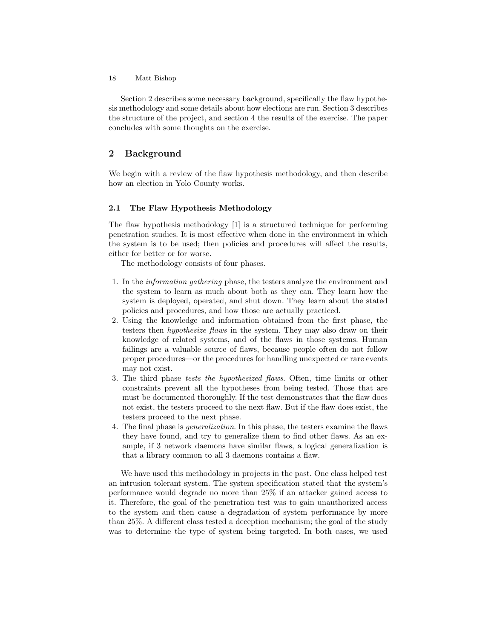18 Matt Bishop

Section 2 describes some necessary background, specifically the flaw hypothesis methodology and some details about how elections are run. Section 3 describes the structure of the project, and section 4 the results of the exercise. The paper concludes with some thoughts on the exercise.

# 2 Background

We begin with a review of the flaw hypothesis methodology, and then describe how an election in Yolo County works.

### 2.1 The Flaw Hypothesis Methodology

The flaw hypothesis methodology [1] is a structured technique for performing penetration studies. It is most effective when done in the environment in which the system is to be used; then policies and procedures will affect the results, either for better or for worse.

The methodology consists of four phases.

- 1. In the *information gathering* phase, the testers analyze the environment and the system to learn as much about both as they can. They learn how the system is deployed, operated, and shut down. They learn about the stated policies and procedures, and how those are actually practiced.
- 2. Using the knowledge and information obtained from the first phase, the testers then *hypothesize flaws* in the system. They may also draw on their knowledge of related systems, and of the flaws in those systems. Human failings are a valuable source of flaws, because people often do not follow proper procedures—or the procedures for handling unexpected or rare events may not exist.
- 3. The third phase *tests the hypothesized flaws*. Often, time limits or other constraints prevent all the hypotheses from being tested. Those that are must be documented thoroughly. If the test demonstrates that the flaw does not exist, the testers proceed to the next flaw. But if the flaw does exist, the testers proceed to the next phase.
- 4. The final phase is *generalization*. In this phase, the testers examine the flaws they have found, and try to generalize them to find other flaws. As an example, if 3 network daemons have similar flaws, a logical generalization is that a library common to all 3 daemons contains a flaw.

We have used this methodology in projects in the past. One class helped test an intrusion tolerant system. The system specification stated that the system's performance would degrade no more than 25% if an attacker gained access to it. Therefore, the goal of the penetration test was to gain unauthorized access to the system and then cause a degradation of system performance by more than 25%. A different class tested a deception mechanism; the goal of the study was to determine the type of system being targeted. In both cases, we used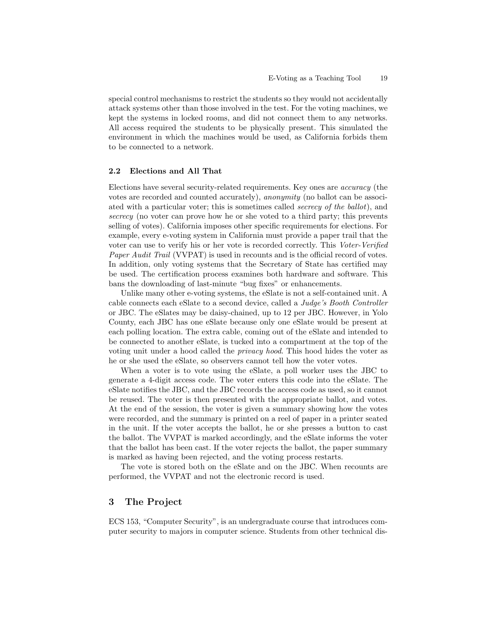special control mechanisms to restrict the students so they would not accidentally attack systems other than those involved in the test. For the voting machines, we kept the systems in locked rooms, and did not connect them to any networks. All access required the students to be physically present. This simulated the environment in which the machines would be used, as California forbids them to be connected to a network.

#### 2.2 Elections and All That

Elections have several security-related requirements. Key ones are *accuracy* (the votes are recorded and counted accurately), *anonymity* (no ballot can be associated with a particular voter; this is sometimes called *secrecy of the ballot*), and *secrecy* (no voter can prove how he or she voted to a third party; this prevents selling of votes). California imposes other specific requirements for elections. For example, every e-voting system in California must provide a paper trail that the voter can use to verify his or her vote is recorded correctly. This *Voter-Verified Paper Audit Trail* (VVPAT) is used in recounts and is the official record of votes. In addition, only voting systems that the Secretary of State has certified may be used. The certification process examines both hardware and software. This bans the downloading of last-minute "bug fixes" or enhancements.

Unlike many other e-voting systems, the eSlate is not a self-contained unit. A cable connects each eSlate to a second device, called a *Judge's Booth Controller* or JBC. The eSlates may be daisy-chained, up to 12 per JBC. However, in Yolo County, each JBC has one eSlate because only one eSlate would be present at each polling location. The extra cable, coming out of the eSlate and intended to be connected to another eSlate, is tucked into a compartment at the top of the voting unit under a hood called the *privacy hood*. This hood hides the voter as he or she used the eSlate, so observers cannot tell how the voter votes.

When a voter is to vote using the eSlate, a poll worker uses the JBC to generate a 4-digit access code. The voter enters this code into the eSlate. The eSlate notifies the JBC, and the JBC records the access code as used, so it cannot be reused. The voter is then presented with the appropriate ballot, and votes. At the end of the session, the voter is given a summary showing how the votes were recorded, and the summary is printed on a reel of paper in a printer seated in the unit. If the voter accepts the ballot, he or she presses a button to cast the ballot. The VVPAT is marked accordingly, and the eSlate informs the voter that the ballot has been cast. If the voter rejects the ballot, the paper summary is marked as having been rejected, and the voting process restarts.

The vote is stored both on the eSlate and on the JBC. When recounts are performed, the VVPAT and not the electronic record is used.

# 3 The Project

ECS 153, "Computer Security", is an undergraduate course that introduces computer security to majors in computer science. Students from other technical dis-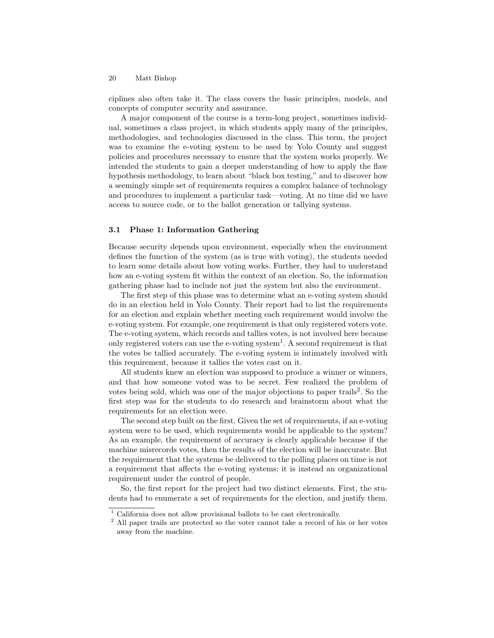#### 20 Matt Bishop

ciplines also often take it. The class covers the basic principles, models, and concepts of computer security and assurance.

A major component of the course is a term-long project, sometimes individual, sometimes a class project, in which students apply many of the principles, methodologies, and technologies discussed in the class. This term, the project was to examine the e-voting system to be used by Yolo County and suggest policies and procedures necessary to ensure that the system works properly. We intended the students to gain a deeper understanding of how to apply the flaw hypothesis methodology, to learn about "black box testing," and to discover how a seemingly simple set of requirements requires a complex balance of technology and procedures to implement a particular task—voting. At no time did we have access to source code, or to the ballot generation or tallying systems.

## 3.1 Phase 1: Information Gathering

Because security depends upon environment, especially when the environment defines the function of the system (as is true with voting), the students needed to learn some details about how voting works. Further, they had to understand how an e-voting system fit within the context of an election. So, the information gathering phase had to include not just the system but also the environment.

The first step of this phase was to determine what an e-voting system should do in an election held in Yolo County. Their report had to list the requirements for an election and explain whether meeting each requirement would involve the e-voting system. For example, one requirement is that only registered voters vote. The e-voting system, which records and tallies votes, is not involved here because only registered voters can use the e-voting system<sup>1</sup>. A second requirement is that the votes be tallied accurately. The e-voting system is intimately involved with this requirement, because it tallies the votes cast on it.

All students knew an election was supposed to produce a winner or winners, and that how someone voted was to be secret. Few realized the problem of votes being sold, which was one of the major objections to paper trails<sup>2</sup>. So the first step was for the students to do research and brainstorm about what the requirements for an election were.

The second step built on the first. Given the set of requirements, if an e-voting system were to be used, which requirements would be applicable to the system? As an example, the requirement of accuracy is clearly applicable because if the machine misrecords votes, then the results of the election will be inaccurate. But the requirement that the systems be delivered to the polling places on time is not a requirement that affects the e-voting systems; it is instead an organizational requirement under the control of people.

So, the first report for the project had two distinct elements. First, the students had to enumerate a set of requirements for the election, and justify them.

 $1 \text{ California does not allow provisional balls to be cast electronically.}$ 

 $2$  All paper trails are protected so the voter cannot take a record of his or her votes away from the machine.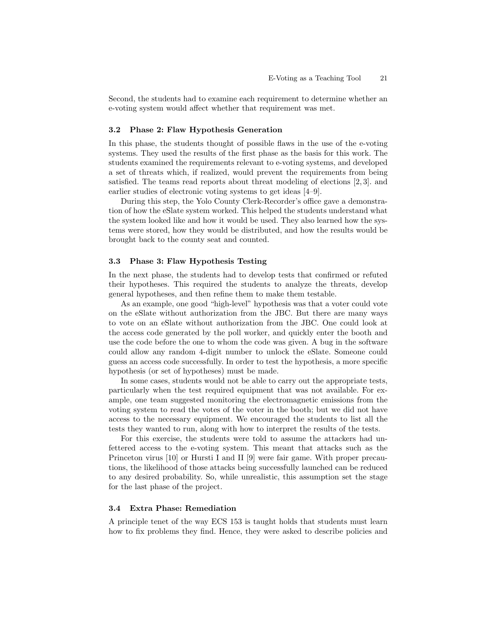Second, the students had to examine each requirement to determine whether an e-voting system would affect whether that requirement was met.

#### 3.2 Phase 2: Flaw Hypothesis Generation

In this phase, the students thought of possible flaws in the use of the e-voting systems. They used the results of the first phase as the basis for this work. The students examined the requirements relevant to e-voting systems, and developed a set of threats which, if realized, would prevent the requirements from being satisfied. The teams read reports about threat modeling of elections [2, 3]. and earlier studies of electronic voting systems to get ideas [4–9].

During this step, the Yolo County Clerk-Recorder's office gave a demonstration of how the eSlate system worked. This helped the students understand what the system looked like and how it would be used. They also learned how the systems were stored, how they would be distributed, and how the results would be brought back to the county seat and counted.

#### 3.3 Phase 3: Flaw Hypothesis Testing

In the next phase, the students had to develop tests that confirmed or refuted their hypotheses. This required the students to analyze the threats, develop general hypotheses, and then refine them to make them testable.

As an example, one good "high-level" hypothesis was that a voter could vote on the eSlate without authorization from the JBC. But there are many ways to vote on an eSlate without authorization from the JBC. One could look at the access code generated by the poll worker, and quickly enter the booth and use the code before the one to whom the code was given. A bug in the software could allow any random 4-digit number to unlock the eSlate. Someone could guess an access code successfully. In order to test the hypothesis, a more specific hypothesis (or set of hypotheses) must be made.

In some cases, students would not be able to carry out the appropriate tests, particularly when the test required equipment that was not available. For example, one team suggested monitoring the electromagnetic emissions from the voting system to read the votes of the voter in the booth; but we did not have access to the necessary equipment. We encouraged the students to list all the tests they wanted to run, along with how to interpret the results of the tests.

For this exercise, the students were told to assume the attackers had unfettered access to the e-voting system. This meant that attacks such as the Princeton virus [10] or Hursti I and II [9] were fair game. With proper precautions, the likelihood of those attacks being successfully launched can be reduced to any desired probability. So, while unrealistic, this assumption set the stage for the last phase of the project.

#### 3.4 Extra Phase: Remediation

A principle tenet of the way ECS 153 is taught holds that students must learn how to fix problems they find. Hence, they were asked to describe policies and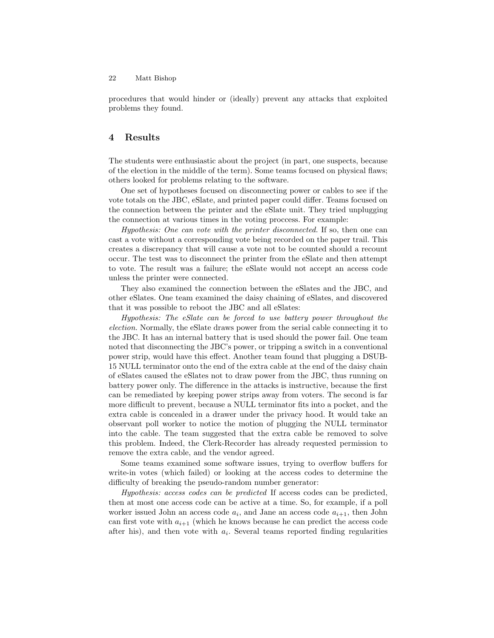procedures that would hinder or (ideally) prevent any attacks that exploited problems they found.

# 4 Results

The students were enthusiastic about the project (in part, one suspects, because of the election in the middle of the term). Some teams focused on physical flaws; others looked for problems relating to the software.

One set of hypotheses focused on disconnecting power or cables to see if the vote totals on the JBC, eSlate, and printed paper could differ. Teams focused on the connection between the printer and the eSlate unit. They tried unplugging the connection at various times in the voting proccess. For example:

*Hypothesis: One can vote with the printer disconnected.* If so, then one can cast a vote without a corresponding vote being recorded on the paper trail. This creates a discrepancy that will cause a vote not to be counted should a recount occur. The test was to disconnect the printer from the eSlate and then attempt to vote. The result was a failure; the eSlate would not accept an access code unless the printer were connected.

They also examined the connection between the eSlates and the JBC, and other eSlates. One team examined the daisy chaining of eSlates, and discovered that it was possible to reboot the JBC and all eSlates:

*Hypothesis: The eSlate can be forced to use battery power throughout the election.* Normally, the eSlate draws power from the serial cable connecting it to the JBC. It has an internal battery that is used should the power fail. One team noted that disconnecting the JBC's power, or tripping a switch in a conventional power strip, would have this effect. Another team found that plugging a DSUB-15 NULL terminator onto the end of the extra cable at the end of the daisy chain of eSlates caused the eSlates not to draw power from the JBC, thus running on battery power only. The difference in the attacks is instructive, because the first can be remediated by keeping power strips away from voters. The second is far more difficult to prevent, because a NULL terminator fits into a pocket, and the extra cable is concealed in a drawer under the privacy hood. It would take an observant poll worker to notice the motion of plugging the NULL terminator into the cable. The team suggested that the extra cable be removed to solve this problem. Indeed, the Clerk-Recorder has already requested permission to remove the extra cable, and the vendor agreed.

Some teams examined some software issues, trying to overflow buffers for write-in votes (which failed) or looking at the access codes to determine the difficulty of breaking the pseudo-random number generator:

*Hypothesis: access codes can be predicted* If access codes can be predicted, then at most one access code can be active at a time. So, for example, if a poll worker issued John an access code  $a_i$ , and Jane an access code  $a_{i+1}$ , then John can first vote with  $a_{i+1}$  (which he knows because he can predict the access code after his), and then vote with *ai*. Several teams reported finding regularities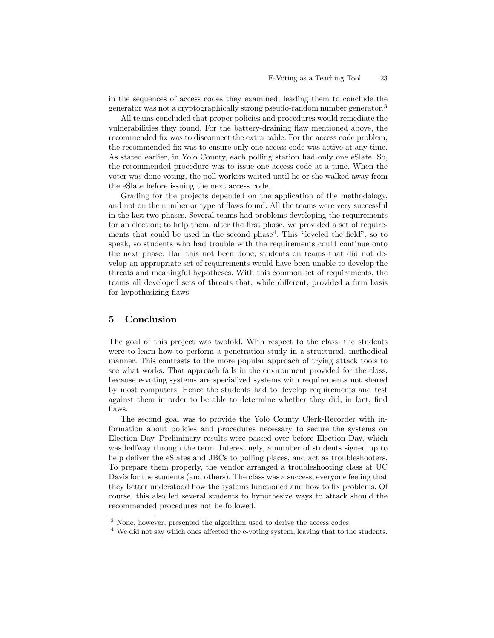in the sequences of access codes they examined, leading them to conclude the generator was not a cryptographically strong pseudo-random number generator.<sup>3</sup>

All teams concluded that proper policies and procedures would remediate the vulnerabilities they found. For the battery-draining flaw mentioned above, the recommended fix was to disconnect the extra cable. For the access code problem, the recommended fix was to ensure only one access code was active at any time. As stated earlier, in Yolo County, each polling station had only one eSlate. So, the recommended procedure was to issue one access code at a time. When the voter was done voting, the poll workers waited until he or she walked away from the eSlate before issuing the next access code.

Grading for the projects depended on the application of the methodology, and not on the number or type of flaws found. All the teams were very successful in the last two phases. Several teams had problems developing the requirements for an election; to help them, after the first phase, we provided a set of requirements that could be used in the second phase<sup>4</sup>. This "leveled the field", so to speak, so students who had trouble with the requirements could continue onto the next phase. Had this not been done, students on teams that did not develop an appropriate set of requirements would have been unable to develop the threats and meaningful hypotheses. With this common set of requirements, the teams all developed sets of threats that, while different, provided a firm basis for hypothesizing flaws.

# 5 Conclusion

The goal of this project was twofold. With respect to the class, the students were to learn how to perform a penetration study in a structured, methodical manner. This contrasts to the more popular approach of trying attack tools to see what works. That approach fails in the environment provided for the class, because e-voting systems are specialized systems with requirements not shared by most computers. Hence the students had to develop requirements and test against them in order to be able to determine whether they did, in fact, find flaws.

The second goal was to provide the Yolo County Clerk-Recorder with information about policies and procedures necessary to secure the systems on Election Day. Preliminary results were passed over before Election Day, which was halfway through the term. Interestingly, a number of students signed up to help deliver the eSlates and JBCs to polling places, and act as troubleshooters. To prepare them properly, the vendor arranged a troubleshooting class at UC Davis for the students (and others). The class was a success, everyone feeling that they better understood how the systems functioned and how to fix problems. Of course, this also led several students to hypothesize ways to attack should the recommended procedures not be followed.

<sup>&</sup>lt;sup>3</sup> None, however, presented the algorithm used to derive the access codes.

<sup>&</sup>lt;sup>4</sup> We did not say which ones affected the e-voting system, leaving that to the students.